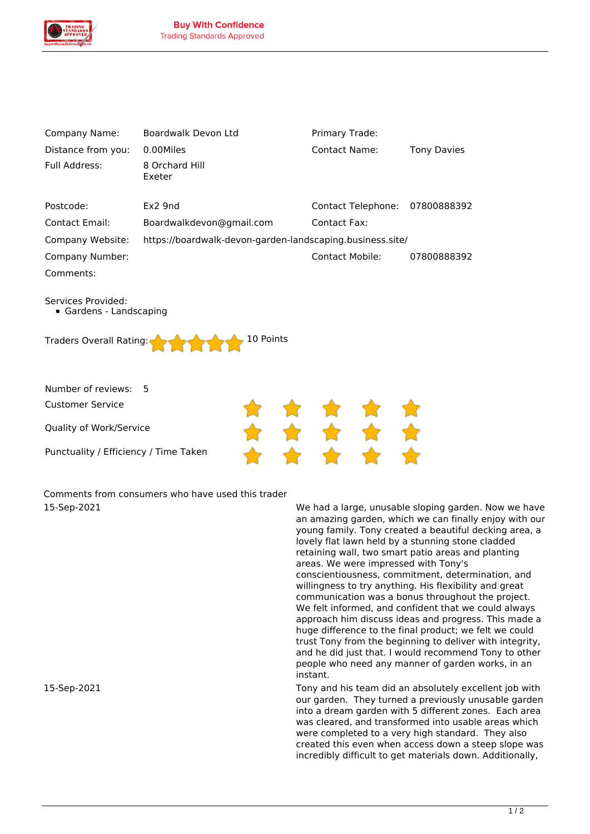

| Company Name:                                                                         | Boardwalk Devon Ltd      | Primary Trade:         |                    |  |
|---------------------------------------------------------------------------------------|--------------------------|------------------------|--------------------|--|
| Distance from you:                                                                    | 0.00Miles                | <b>Contact Name:</b>   | <b>Tony Davies</b> |  |
| Full Address:                                                                         | 8 Orchard Hill<br>Exeter |                        |                    |  |
| Postcode:                                                                             | Ex2 9nd                  | Contact Telephone:     | 07800888392        |  |
| <b>Contact Email:</b>                                                                 | Boardwalkdevon@gmail.com | <b>Contact Fax:</b>    |                    |  |
| Company Website:<br>https://boardwalk-devon-garden-landscaping.business.site/         |                          |                        |                    |  |
| Company Number:                                                                       |                          | <b>Contact Mobile:</b> | 07800888392        |  |
| Comments:                                                                             |                          |                        |                    |  |
| Services Provided:<br>• Gardens - Landscaping<br>10 Points<br>Traders Overall Rating: |                          |                        |                    |  |
| Number of reviews:<br><b>Customer Service</b>                                         | 5                        |                        |                    |  |
| Quality of Work/Service                                                               |                          |                        |                    |  |
| Punctuality / Efficiency / Time Taken                                                 |                          |                        |                    |  |

*Comments from consumers who have used this trader*

*15-Sep-2021 We had a large, unusable sloping garden. Now we have an amazing garden, which we can finally enjoy with our young family. Tony created a beautiful decking area, a lovely flat lawn held by a stunning stone cladded retaining wall, two smart patio areas and planting areas. We were impressed with Tony's conscientiousness, commitment, determination, and willingness to try anything. His flexibility and great communication was a bonus throughout the project. We felt informed, and confident that we could always approach him discuss ideas and progress. This made a huge difference to the final product; we felt we could trust Tony from the beginning to deliver with integrity, and he did just that. I would recommend Tony to other people who need any manner of garden works, in an instant.*

*15-Sep-2021 Tony and his team did an absolutely excellent job with our garden. They turned a previously unusable garden into a dream garden with 5 different zones. Each area was cleared, and transformed into usable areas which were completed to a very high standard. They also created this even when access down a steep slope was incredibly difficult to get materials down. Additionally,*